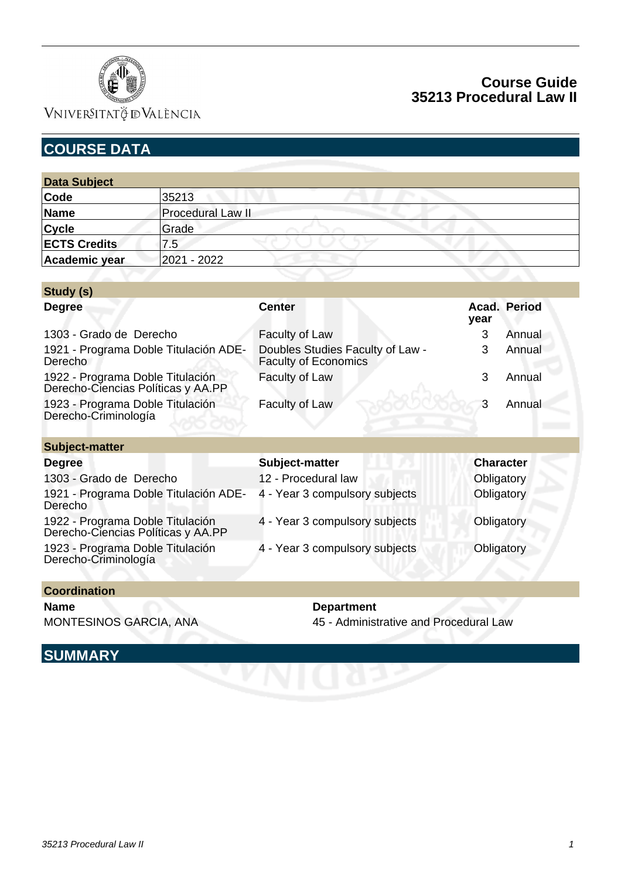

# VNIVERSITAT Ö ID VALÈNCIA

## **Course Guide 35213 Procedural Law II**

| <b>COURSE DATA</b>                                                     |                   |                                                                 |                  |              |
|------------------------------------------------------------------------|-------------------|-----------------------------------------------------------------|------------------|--------------|
|                                                                        |                   |                                                                 |                  |              |
| <b>Data Subject</b>                                                    |                   |                                                                 |                  |              |
| Code                                                                   | 35213             |                                                                 |                  |              |
| <b>Name</b>                                                            | Procedural Law II |                                                                 |                  |              |
| <b>Cycle</b>                                                           | Grade             |                                                                 |                  |              |
| <b>ECTS Credits</b>                                                    | 7.5               |                                                                 |                  |              |
| Academic year                                                          | 2021 - 2022       |                                                                 |                  |              |
|                                                                        |                   |                                                                 |                  |              |
| Study (s)                                                              |                   |                                                                 |                  |              |
| <b>Degree</b>                                                          |                   | <b>Center</b>                                                   | year             | Acad. Period |
| 1303 - Grado de Derecho                                                |                   | <b>Faculty of Law</b>                                           | 3                | Annual       |
| 1921 - Programa Doble Titulación ADE-<br><b>Derecho</b>                |                   | Doubles Studies Faculty of Law -<br><b>Faculty of Economics</b> | 3                | Annual       |
| 1922 - Programa Doble Titulación<br>Derecho-Ciencias Políticas y AA.PP |                   | Faculty of Law                                                  | 3                | Annual       |
| 1923 - Programa Doble Titulación<br>Derecho-Criminología               |                   | Faculty of Law                                                  | 3                | Annual       |
| <b>Subject-matter</b>                                                  |                   |                                                                 |                  |              |
| <b>Degree</b>                                                          |                   | Subject-matter                                                  | <b>Character</b> |              |
| 1303 - Grado de Derecho                                                |                   | 12 - Procedural law                                             | Obligatory       |              |
| 1921 - Programa Doble Titulación ADE-<br>Derecho                       |                   | 4 - Year 3 compulsory subjects                                  | Obligatory       |              |
| 1922 - Programa Doble Titulación<br>Derecho-Ciencias Políticas y AA.PP |                   | 4 - Year 3 compulsory subjects                                  | Obligatory       |              |
| 1923 - Programa Doble Titulación<br>Derecho-Criminología               |                   | 4 - Year 3 compulsory subjects                                  | Obligatory       |              |
|                                                                        |                   |                                                                 |                  |              |

### **Coordination**

**Name Department** 

y y

MONTESINOS GARCIA, ANA 45 - Administrative and Procedural Law

# **SUMMARY**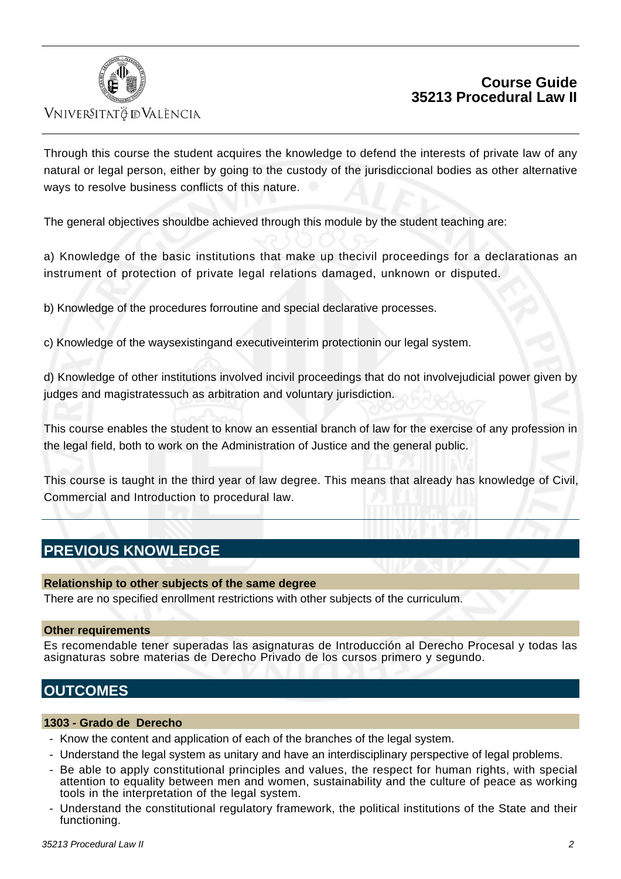

### **VNIVERSITATÖ IDVALÈNCIA**

## **Course Guide 35213 Procedural Law II**

Through this course the student acquires the knowledge to defend the interests of private law of any natural or legal person, either by going to the custody of the jurisdiccional bodies as other alternative ways to resolve business conflicts of this nature.

The general objectives shouldbe achieved through this module by the student teaching are:

a) Knowledge of the basic institutions that make up thecivil proceedings for a declarationas an instrument of protection of private legal relations damaged, unknown or disputed.

b) Knowledge of the procedures forroutine and special declarative processes.

c) Knowledge of the waysexistingand executiveinterim protectionin our legal system.

d) Knowledge of other institutions involved incivil proceedings that do not involvejudicial power given by judges and magistratessuch as arbitration and voluntary jurisdiction.

This course enables the student to know an essential branch of law for the exercise of any profession in the legal field, both to work on the Administration of Justice and the general public.

This course is taught in the third year of law degree. This means that already has knowledge of Civil, Commercial and Introduction to procedural law.

## **PREVIOUS KNOWLEDGE**

#### **Relationship to other subjects of the same degree**

There are no specified enrollment restrictions with other subjects of the curriculum.

#### **Other requirements**

Es recomendable tener superadas las asignaturas de Introducción al Derecho Procesal y todas las asignaturas sobre materias de Derecho Privado de los cursos primero y segundo.

## **OUTCOMES**

#### **1303 - Grado de Derecho**

- Know the content and application of each of the branches of the legal system.
- Understand the legal system as unitary and have an interdisciplinary perspective of legal problems.
- Be able to apply constitutional principles and values, the respect for human rights, with special attention to equality between men and women, sustainability and the culture of peace as working tools in the interpretation of the legal system.
- Understand the constitutional regulatory framework, the political institutions of the State and their functioning.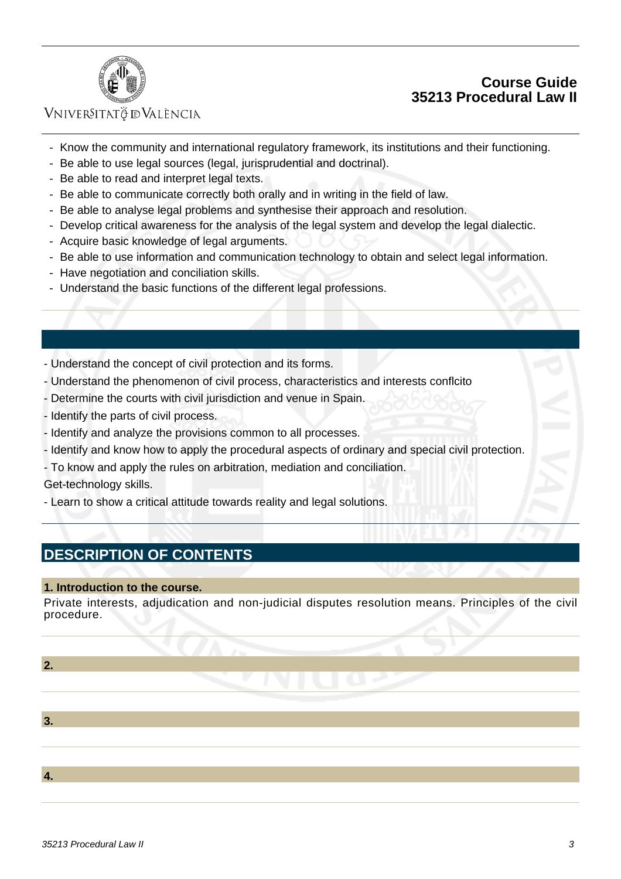

### **Course Guide 35213 Procedural Law II**

## VNIVERSITATÖ ID VALÈNCIA

- Know the community and international regulatory framework, its institutions and their functioning.
- Be able to use legal sources (legal, jurisprudential and doctrinal).
- Be able to read and interpret legal texts.
- Be able to communicate correctly both orally and in writing in the field of law.
- Be able to analyse legal problems and synthesise their approach and resolution.
- Develop critical awareness for the analysis of the legal system and develop the legal dialectic.
- Acquire basic knowledge of legal arguments.
- Be able to use information and communication technology to obtain and select legal information.
- Have negotiation and conciliation skills.
- Understand the basic functions of the different legal professions.
- Understand the concept of civil protection and its forms.
- Understand the phenomenon of civil process, characteristics and interests conflcito
- Determine the courts with civil jurisdiction and venue in Spain.
- Identify the parts of civil process.
- Identify and analyze the provisions common to all processes.
- Identify and know how to apply the procedural aspects of ordinary and special civil protection.
- To know and apply the rules on arbitration, mediation and conciliation.

Get-technology skills.

- Learn to show a critical attitude towards reality and legal solutions.

## **DESCRIPTION OF CONTENTS**

#### **1. Introduction to the course.**

Private interests, adjudication and non-judicial disputes resolution means. Principles of the civil procedure.

| 2. |  |
|----|--|
|    |  |
|    |  |
| 3. |  |
|    |  |
|    |  |
|    |  |
|    |  |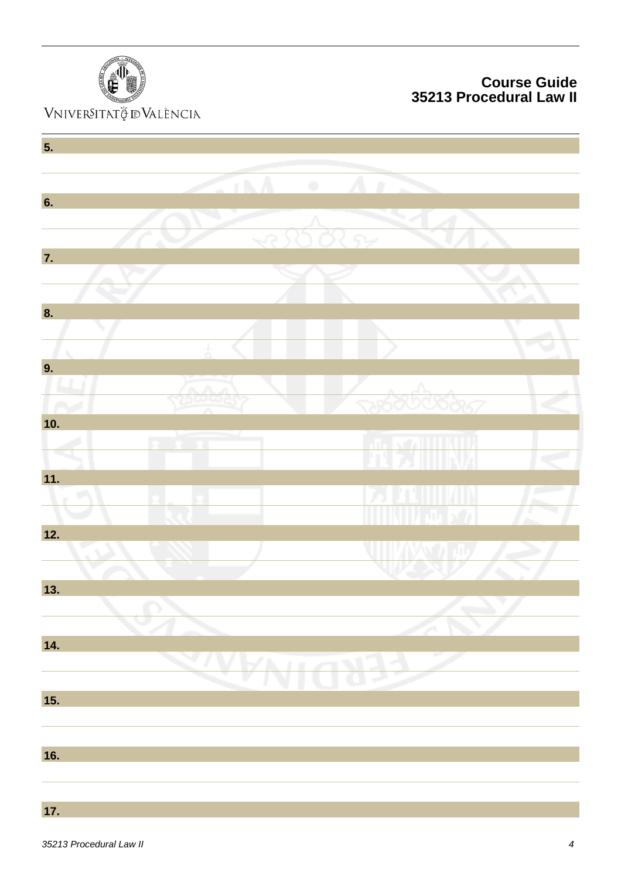

**Course Guide 35213 Procedural Law II**

# VNIVERSITAT<del>ğ</del> dValència

| 5.               |                     |                        |               |  |
|------------------|---------------------|------------------------|---------------|--|
|                  |                     |                        |               |  |
| 6.               | $\mathbb{R}$<br>ĭ.  | Λ<br>$\ddot{\text{o}}$ | $\mathcal{N}$ |  |
|                  |                     |                        |               |  |
|                  |                     |                        |               |  |
| $\overline{7}$ . |                     |                        |               |  |
|                  |                     |                        |               |  |
| 8.               |                     |                        |               |  |
|                  |                     |                        |               |  |
|                  |                     |                        |               |  |
| 9.               |                     |                        |               |  |
|                  | 0.00<br>Á           |                        |               |  |
| 10.              |                     |                        |               |  |
|                  | $\mathbf{r}$<br>. . |                        | $\sqrt{2}$    |  |
|                  |                     |                        |               |  |
| $11.$            |                     |                        |               |  |
|                  | ī.                  |                        | $\sqrt{2}$    |  |
| $12.$            |                     |                        |               |  |
|                  |                     |                        |               |  |
| $13.$            |                     |                        |               |  |
|                  |                     |                        |               |  |
|                  |                     |                        |               |  |
| 14.              |                     |                        | ۳             |  |
|                  | <b>WWW14X33</b>     |                        |               |  |
| 15.              |                     |                        |               |  |
|                  |                     |                        |               |  |
|                  |                     |                        |               |  |
| 16.              |                     |                        |               |  |
|                  |                     |                        |               |  |
| $17.$            |                     |                        |               |  |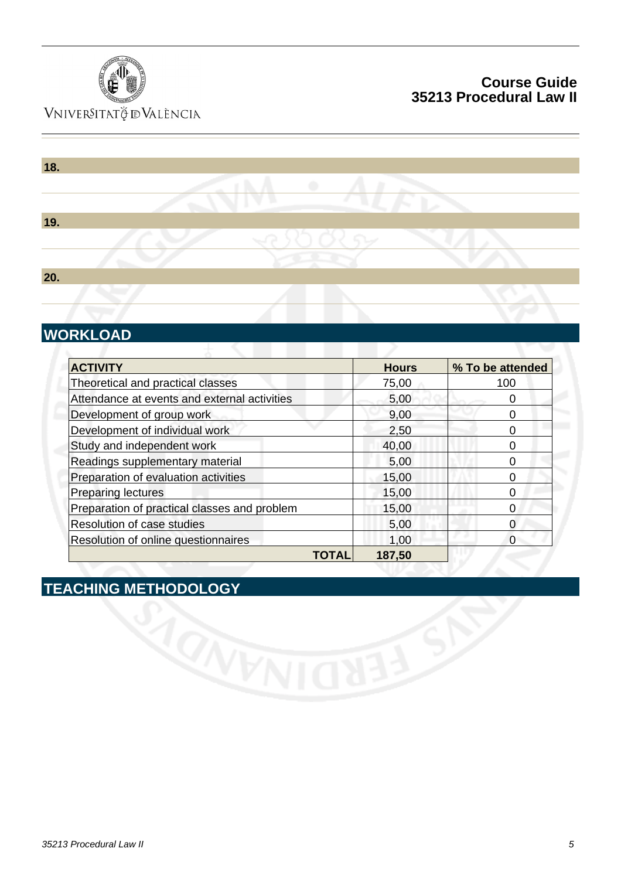

## **Course Guide 35213 Procedural Law II**

VNIVERSITATO DVALENCIA

| 18. |  |
|-----|--|
|     |  |
|     |  |
| 19. |  |
|     |  |
|     |  |
| 20. |  |

# **WORKLOAD**

| <b>ACTIVITY</b>                              | <b>Hours</b> | % To be attended |
|----------------------------------------------|--------------|------------------|
| Theoretical and practical classes            | 75,00        | 100              |
| Attendance at events and external activities | 5,00         | 0                |
| Development of group work                    | 9,00         | 0                |
| Development of individual work               | 2,50         | O                |
| Study and independent work                   | 40,00        |                  |
| Readings supplementary material              | 5,00         |                  |
| Preparation of evaluation activities         | 15,00        | ∩                |
| <b>Preparing lectures</b>                    | 15,00        | O                |
| Preparation of practical classes and problem | 15,00        | O                |
| <b>Resolution of case studies</b>            | 5,00         |                  |
| Resolution of online questionnaires          | 1,00         | 0                |
| TOTAL                                        | 187,50       |                  |

# **TEACHING METHODOLOGY**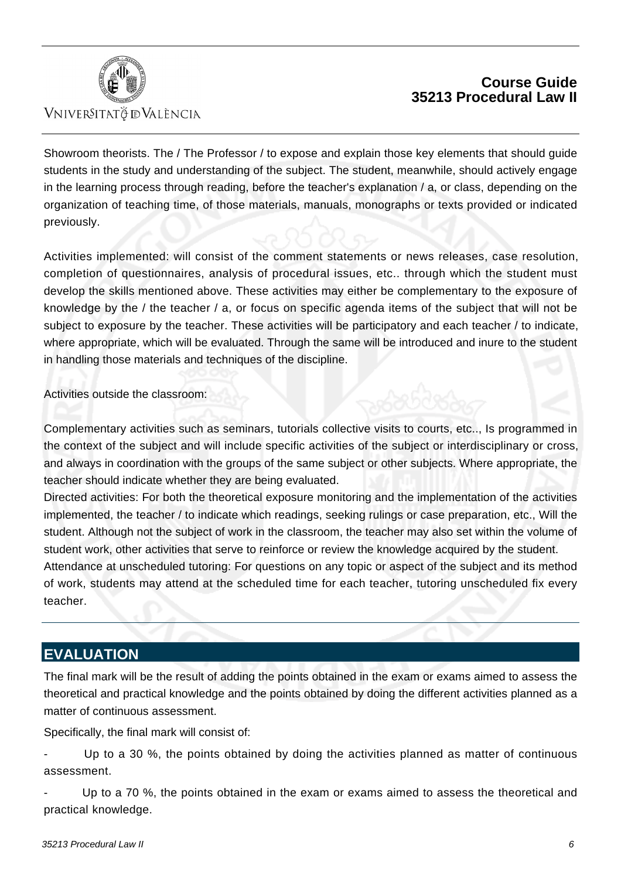

### VNIVERSITATÖ ID VALÈNCIA

## **Course Guide 35213 Procedural Law II**

Showroom theorists. The / The Professor / to expose and explain those key elements that should guide students in the study and understanding of the subject. The student, meanwhile, should actively engage in the learning process through reading, before the teacher's explanation / a, or class, depending on the organization of teaching time, of those materials, manuals, monographs or texts provided or indicated previously.

Activities implemented: will consist of the comment statements or news releases, case resolution, completion of questionnaires, analysis of procedural issues, etc.. through which the student must develop the skills mentioned above. These activities may either be complementary to the exposure of knowledge by the / the teacher / a, or focus on specific agenda items of the subject that will not be subject to exposure by the teacher. These activities will be participatory and each teacher / to indicate, where appropriate, which will be evaluated. Through the same will be introduced and inure to the student in handling those materials and techniques of the discipline.

Activities outside the classroom:

Complementary activities such as seminars, tutorials collective visits to courts, etc.., Is programmed in the context of the subject and will include specific activities of the subject or interdisciplinary or cross, and always in coordination with the groups of the same subject or other subjects. Where appropriate, the teacher should indicate whether they are being evaluated.

Directed activities: For both the theoretical exposure monitoring and the implementation of the activities implemented, the teacher / to indicate which readings, seeking rulings or case preparation, etc., Will the student. Although not the subject of work in the classroom, the teacher may also set within the volume of student work, other activities that serve to reinforce or review the knowledge acquired by the student.

Attendance at unscheduled tutoring: For questions on any topic or aspect of the subject and its method of work, students may attend at the scheduled time for each teacher, tutoring unscheduled fix every teacher.

## **EVALUATION**

The final mark will be the result of adding the points obtained in the exam or exams aimed to assess the theoretical and practical knowledge and the points obtained by doing the different activities planned as a matter of continuous assessment.

Specifically, the final mark will consist of:

Up to a 30 %, the points obtained by doing the activities planned as matter of continuous assessment.

Up to a 70 %, the points obtained in the exam or exams aimed to assess the theoretical and practical knowledge.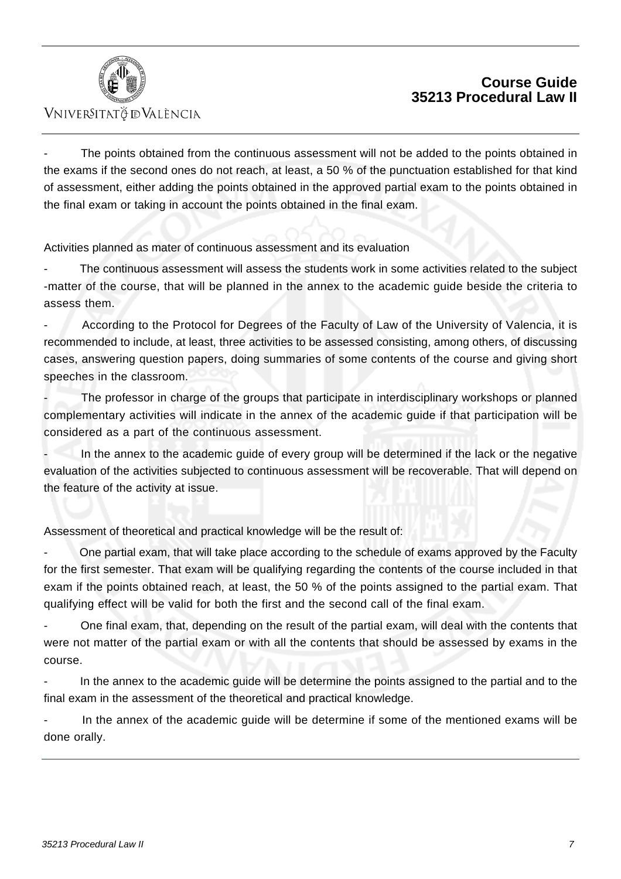



### VNIVERSITATÖ ID VALÈNCIA

The points obtained from the continuous assessment will not be added to the points obtained in the exams if the second ones do not reach, at least, a 50 % of the punctuation established for that kind of assessment, either adding the points obtained in the approved partial exam to the points obtained in the final exam or taking in account the points obtained in the final exam.

Activities planned as mater of continuous assessment and its evaluation

The continuous assessment will assess the students work in some activities related to the subject -matter of the course, that will be planned in the annex to the academic guide beside the criteria to assess them.

According to the Protocol for Degrees of the Faculty of Law of the University of Valencia, it is recommended to include, at least, three activities to be assessed consisting, among others, of discussing cases, answering question papers, doing summaries of some contents of the course and giving short speeches in the classroom.

The professor in charge of the groups that participate in interdisciplinary workshops or planned complementary activities will indicate in the annex of the academic guide if that participation will be considered as a part of the continuous assessment.

In the annex to the academic guide of every group will be determined if the lack or the negative evaluation of the activities subjected to continuous assessment will be recoverable. That will depend on the feature of the activity at issue.

Assessment of theoretical and practical knowledge will be the result of:

- One partial exam, that will take place according to the schedule of exams approved by the Faculty for the first semester. That exam will be qualifying regarding the contents of the course included in that exam if the points obtained reach, at least, the 50 % of the points assigned to the partial exam. That qualifying effect will be valid for both the first and the second call of the final exam.

One final exam, that, depending on the result of the partial exam, will deal with the contents that were not matter of the partial exam or with all the contents that should be assessed by exams in the course.

In the annex to the academic guide will be determine the points assigned to the partial and to the final exam in the assessment of the theoretical and practical knowledge.

In the annex of the academic guide will be determine if some of the mentioned exams will be done orally.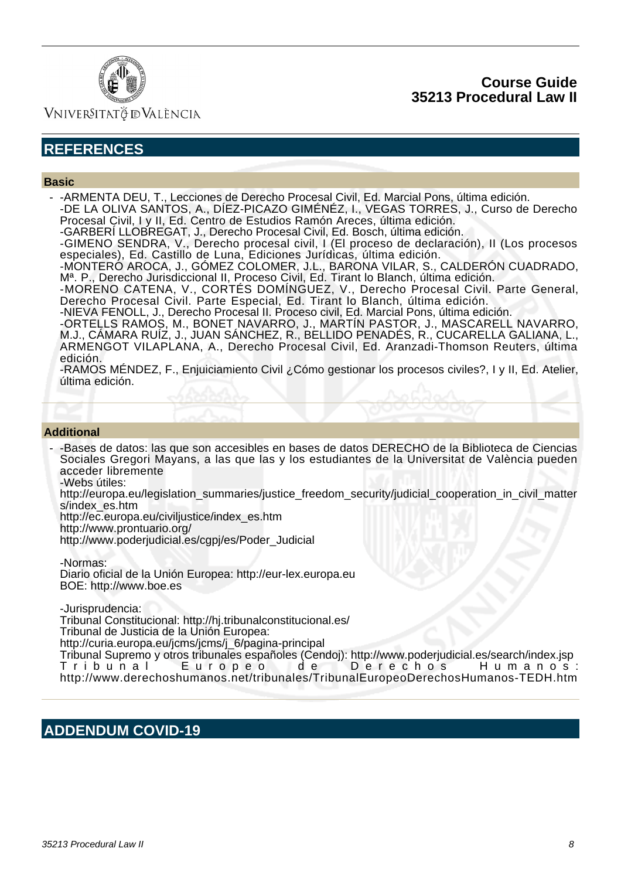



Vniver§itatğ dValència

## **REFERENCES**

#### **Basic**

- - ARMENTA DEU, T., Lecciones de Derecho Procesal Civil, Ed. Marcial Pons, última edición.

- DE LA OLIVA SANTOS, A., DÍEZ-PICAZO GIMÉNÉZ, I., VEGAS TORRES, J., Curso de Derecho Procesal Civil, I y II, Ed. Centro de Estudios Ramón Areces, última edición.

- GARBERÍ LLOBREGAT, J., Derecho Procesal Civil, Ed. Bosch, última edición.

- GIMENO SENDRA, V., Derecho procesal civil, I (El proceso de declaración), II (Los procesos especiales), Ed. Castillo de Luna, Ediciones Jurídicas, última edición.

- MONTERO AROCA, J., GÓMEZ COLOMER, J.L., BARONA VILAR, S., CALDERÓN CUADRADO, Mª. P., Derecho Jurisdiccional II, Proceso Civil, Ed. Tirant lo Blanch, última edición.

- MORENO CATENA, V., CORTÉS DOMÍNGUEZ, V., Derecho Procesal Civil. Parte General, Derecho Procesal Civil. Parte Especial, Ed. Tirant lo Blanch, última edición.

- NIEVA FENOLL, J., Derecho Procesal II. Proceso civil, Ed. Marcial Pons, última edición.

- ORTELLS RAMOS, M., BONET NAVARRO, J., MARTÍN PASTOR, J., MASCARELL NAVARRO, M.J., CÁMARA RUÍZ, J., JUAN SÁNCHEZ, R., BELLIDO PENADÉS, R., CUCARELLA GALIANA, L., ARMENGOT VILAPLANA, A., Derecho Procesal Civil, Ed. Aranzadi-Thomson Reuters, última edición.

- RAMOS MÉNDEZ, F., Eniuiciamiento Civil ¿Cómo gestionar los procesos civiles?, I y II, Ed. Atelier, última edición.

#### **Additional**

- - Bases de datos: las que son accesibles en bases de datos DERECHO de la Biblioteca de Ciencias Sociales Gregori Mayans, a las que las y los estudiantes de la Universitat de València pueden acceder libremente

- Webs útiles:

http://europa.eu/legislation\_summaries/justice\_freedom\_security/judicial\_cooperation\_in\_civil\_matter s/index\_es.htm

http://ec.europa.eu/civiljustice/index\_es.htm

http://www.prontuario.org/

http://www.poderjudicial.es/cgpj/es/Poder\_Judicial

- Normas: Diario oficial de la Unión Europea: http://eur-lex.europa.eu BOE: http://www.boe.es

- Jurisprudencia:

Tribunal Constitucional: http://hj.tribunalconstitucional.es/

Tribunal de Justicia de la Unión Europea:

http://curia.europa.eu/jcms/jcms/j\_6/pagina-principal

Tribunal Supremo y otros tribunales españoles (Cendoj): http://www.poderjudicial.es/search/index.jsp Humanos: http://www.derechoshumanos.net/tribunales/TribunalEuropeoDerechosHumanos-TEDH.htm

### **ADDENDUM COVID-19**